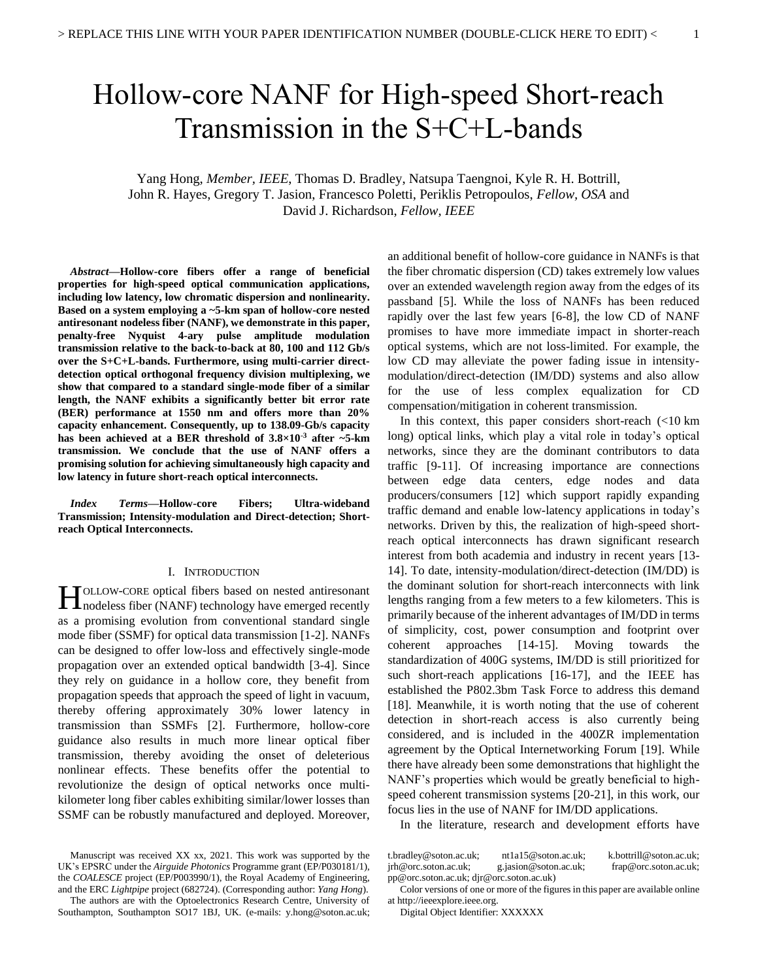# Hollow-core NANF for High-speed Short-reach Transmission in the S+C+L-bands

# Yang Hong, *Member, IEEE*, Thomas D. Bradley, Natsupa Taengnoi, Kyle R. H. Bottrill, John R. Hayes, Gregory T. Jasion, Francesco Poletti, Periklis Petropoulos, *Fellow, OSA* and David J. Richardson, *Fellow, IEEE*

*Abstract***—Hollow-core fibers offer a range of beneficial properties for high-speed optical communication applications, including low latency, low chromatic dispersion and nonlinearity. Based on a system employing a ~5-km span of hollow-core nested antiresonant nodeless fiber (NANF), we demonstrate in this paper, penalty-free Nyquist 4-ary pulse amplitude modulation transmission relative to the back-to-back at 80, 100 and 112 Gb/s over the S+C+L-bands. Furthermore, using multi-carrier directdetection optical orthogonal frequency division multiplexing, we show that compared to a standard single-mode fiber of a similar length, the NANF exhibits a significantly better bit error rate (BER) performance at 1550 nm and offers more than 20% capacity enhancement. Consequently, up to 138.09-Gb/s capacity has been achieved at a BER threshold of 3.8×10-3 after ~5-km transmission. We conclude that the use of NANF offers a promising solution for achieving simultaneously high capacity and low latency in future short-reach optical interconnects.**

*Index Terms***—Hollow-core Fibers; Ultra-wideband Transmission; Intensity-modulation and Direct-detection; Shortreach Optical Interconnects.**

#### I. INTRODUCTION

OLLOW-CORE optical fibers based on nested antiresonant **H**OLLOW-CORE optical fibers based on nested antiresonant nodeless fiber (NANF) technology have emerged recently as a promising evolution from conventional standard single mode fiber (SSMF) for optical data transmission [1-2]. NANFs can be designed to offer low-loss and effectively single-mode propagation over an extended optical bandwidth [3-4]. Since they rely on guidance in a hollow core, they benefit from propagation speeds that approach the speed of light in vacuum, thereby offering approximately 30% lower latency in transmission than SSMFs [2]. Furthermore, hollow-core guidance also results in much more linear optical fiber transmission, thereby avoiding the onset of deleterious nonlinear effects. These benefits offer the potential to revolutionize the design of optical networks once multikilometer long fiber cables exhibiting similar/lower losses than SSMF can be robustly manufactured and deployed. Moreover,

Manuscript was received XX xx, 2021. This work was supported by the UK's EPSRC under the *Airguide Photonics* Programme grant (EP/P030181/1), the *COALESCE* project (EP/P003990/1), the Royal Academy of Engineering, and the ERC *Lightpipe* project (682724). (Corresponding author: *Yang Hong*).

The authors are with the Optoelectronics Research Centre, University of Southampton, Southampton SO17 1BJ, UK. (e-mails: y.hong@soton.ac.uk; an additional benefit of hollow-core guidance in NANFs is that the fiber chromatic dispersion (CD) takes extremely low values over an extended wavelength region away from the edges of its passband [5]. While the loss of NANFs has been reduced rapidly over the last few years [6-8], the low CD of NANF promises to have more immediate impact in shorter-reach optical systems, which are not loss-limited. For example, the low CD may alleviate the power fading issue in intensitymodulation/direct-detection (IM/DD) systems and also allow for the use of less complex equalization for CD compensation/mitigation in coherent transmission.

In this context, this paper considers short-reach  $\left($  <10 km long) optical links, which play a vital role in today's optical networks, since they are the dominant contributors to data traffic [9-11]. Of increasing importance are connections between edge data centers, edge nodes and data producers/consumers [12] which support rapidly expanding traffic demand and enable low-latency applications in today's networks. Driven by this, the realization of high-speed shortreach optical interconnects has drawn significant research interest from both academia and industry in recent years [13- 14]. To date, intensity-modulation/direct-detection (IM/DD) is the dominant solution for short-reach interconnects with link lengths ranging from a few meters to a few kilometers. This is primarily because of the inherent advantages of IM/DD in terms of simplicity, cost, power consumption and footprint over coherent approaches [14-15]. Moving towards the standardization of 400G systems, IM/DD is still prioritized for such short-reach applications [16-17], and the IEEE has established the P802.3bm Task Force to address this demand [18]. Meanwhile, it is worth noting that the use of coherent detection in short-reach access is also currently being considered, and is included in the 400ZR implementation agreement by the Optical Internetworking Forum [19]. While there have already been some demonstrations that highlight the NANF's properties which would be greatly beneficial to highspeed coherent transmission systems [20-21], in this work, our focus lies in the use of NANF for IM/DD applications.

In the literature, research and development efforts have

| t.bradley@soton.ac.uk;                   | nt1a15@soton.ac.uk    | k.bottrill@soton.ac.uk:    |
|------------------------------------------|-----------------------|----------------------------|
| irh@orc.soton.ac.uk;                     | g.jasion@soton.ac.uk; | $fran@$ orc. soton. ac.uk: |
| pp@orc.soton.ac.uk; djr@orc.soton.ac.uk) |                       |                            |

Color versions of one or more of the figures in this paper are available online at http://ieeexplore.ieee.org.

Digital Object Identifier: XXXXXX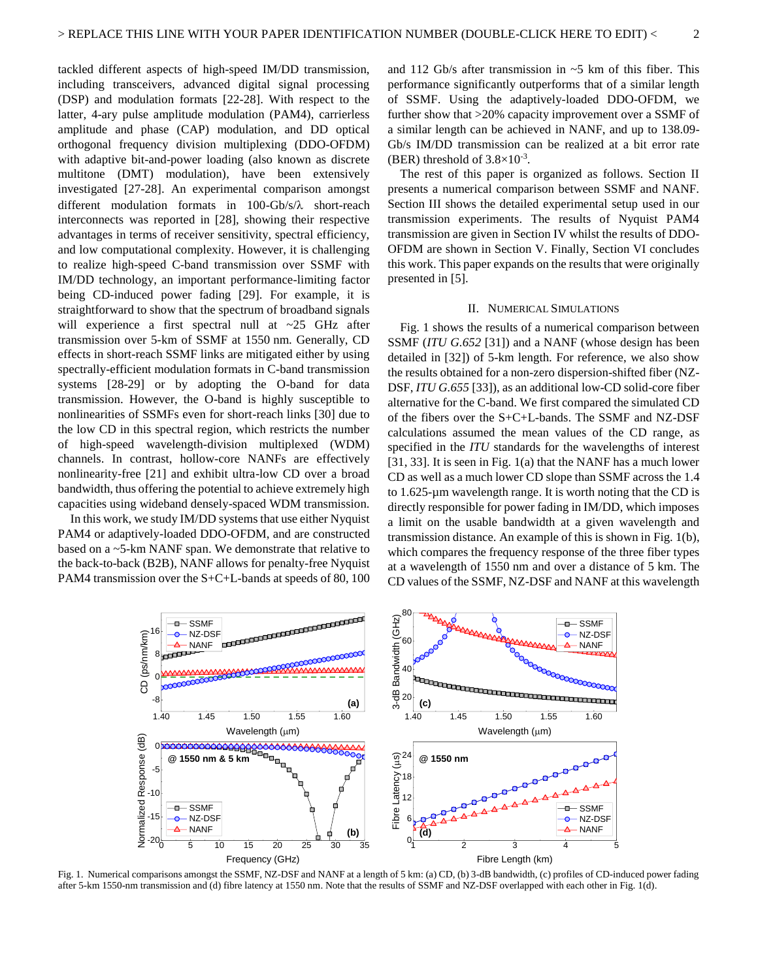tackled different aspects of high-speed IM/DD transmission, including transceivers, advanced digital signal processing (DSP) and modulation formats [22-28]. With respect to the latter, 4-ary pulse amplitude modulation (PAM4), carrierless amplitude and phase (CAP) modulation, and DD optical orthogonal frequency division multiplexing (DDO-OFDM) with adaptive bit-and-power loading (also known as discrete multitone (DMT) modulation), have been extensively investigated [27-28]. An experimental comparison amongst different modulation formats in  $100-\text{Gb/s}/\lambda$  short-reach interconnects was reported in [28], showing their respective advantages in terms of receiver sensitivity, spectral efficiency, and low computational complexity. However, it is challenging to realize high-speed C-band transmission over SSMF with IM/DD technology, an important performance-limiting factor being CD-induced power fading [29]. For example, it is straightforward to show that the spectrum of broadband signals will experience a first spectral null at ~25 GHz after transmission over 5-km of SSMF at 1550 nm. Generally, CD effects in short-reach SSMF links are mitigated either by using spectrally-efficient modulation formats in C-band transmission systems [28-29] or by adopting the O-band for data transmission. However, the O-band is highly susceptible to nonlinearities of SSMFs even for short-reach links [30] due to the low CD in this spectral region, which restricts the number of high-speed wavelength-division multiplexed (WDM) channels. In contrast, hollow-core NANFs are effectively nonlinearity-free [21] and exhibit ultra-low CD over a broad bandwidth, thus offering the potential to achieve extremely high capacities using wideband densely-spaced WDM transmission.

In this work, we study IM/DD systems that use either Nyquist PAM4 or adaptively-loaded DDO-OFDM, and are constructed based on a ~5-km NANF span. We demonstrate that relative to the back-to-back (B2B), NANF allows for penalty-free Nyquist PAM4 transmission over the S+C+L-bands at speeds of 80, 100 and 112 Gb/s after transmission in  $\sim$  5 km of this fiber. This performance significantly outperforms that of a similar length of SSMF. Using the adaptively-loaded DDO-OFDM, we further show that >20% capacity improvement over a SSMF of a similar length can be achieved in NANF, and up to 138.09- Gb/s IM/DD transmission can be realized at a bit error rate (BER) threshold of  $3.8 \times 10^{-3}$ .

The rest of this paper is organized as follows. Section II presents a numerical comparison between SSMF and NANF. Section III shows the detailed experimental setup used in our transmission experiments. The results of Nyquist PAM4 transmission are given in Section IV whilst the results of DDO-OFDM are shown in Section V. Finally, Section VI concludes this work. This paper expands on the results that were originally presented in [5].

# II. NUMERICAL SIMULATIONS

Fig. 1 shows the results of a numerical comparison between SSMF (*ITU G.652* [31]) and a NANF (whose design has been detailed in [32]) of 5-km length. For reference, we also show the results obtained for a non-zero dispersion-shifted fiber (NZ-DSF, *ITU G.655* [33]), as an additional low-CD solid-core fiber alternative for the C-band. We first compared the simulated CD of the fibers over the S+C+L-bands. The SSMF and NZ-DSF calculations assumed the mean values of the CD range, as specified in the *ITU* standards for the wavelengths of interest [31, 33]. It is seen in Fig. 1(a) that the NANF has a much lower CD as well as a much lower CD slope than SSMF across the 1.4 to 1.625-µm wavelength range. It is worth noting that the CD is directly responsible for power fading in IM/DD, which imposes a limit on the usable bandwidth at a given wavelength and transmission distance. An example of this is shown in Fig. 1(b), which compares the frequency response of the three fiber types at a wavelength of 1550 nm and over a distance of 5 km. The CD values of the SSMF, NZ-DSF and NANF at this wavelength



Fig. 1. Numerical comparisons amongst the SSMF, NZ-DSF and NANF at a length of 5 km: (a) CD, (b) 3-dB bandwidth, (c) profiles of CD-induced power fading after 5-km 1550-nm transmission and (d) fibre latency at 1550 nm. Note that the results of SSMF and NZ-DSF overlapped with each other in Fig. 1(d).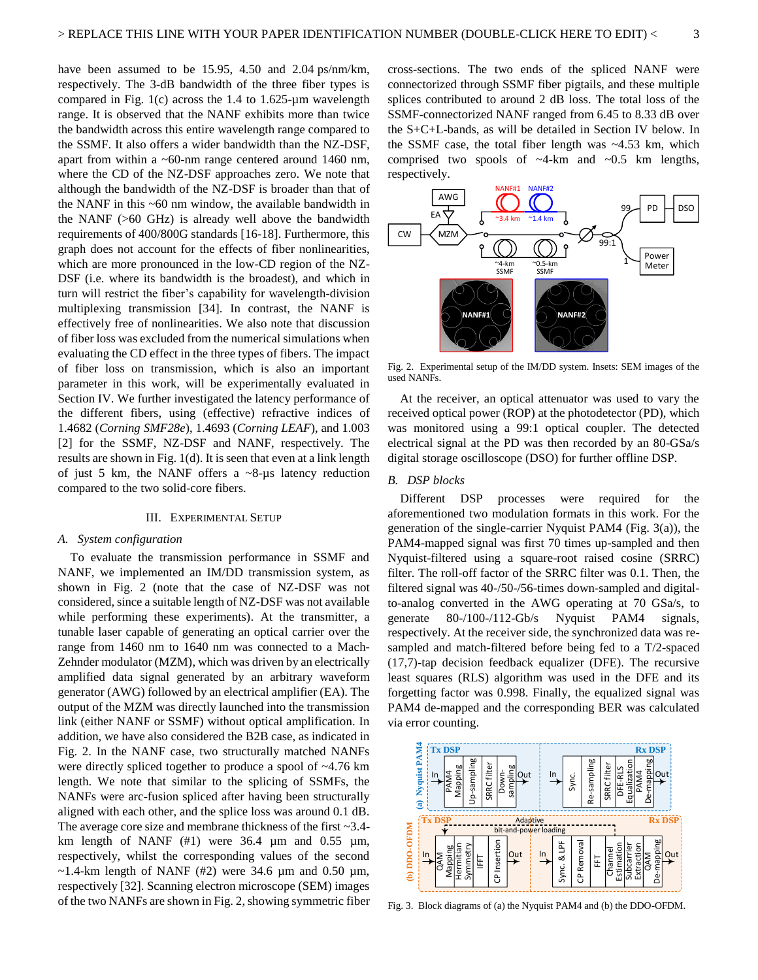have been assumed to be 15.95, 4.50 and 2.04 ps/nm/km, respectively. The 3-dB bandwidth of the three fiber types is compared in Fig. 1(c) across the 1.4 to 1.625-µm wavelength range. It is observed that the NANF exhibits more than twice the bandwidth across this entire wavelength range compared to the SSMF. It also offers a wider bandwidth than the NZ-DSF, apart from within a ~60-nm range centered around 1460 nm, where the CD of the NZ-DSF approaches zero. We note that although the bandwidth of the NZ-DSF is broader than that of the NANF in this ~60 nm window, the available bandwidth in the NANF (>60 GHz) is already well above the bandwidth requirements of 400/800G standards [16-18]. Furthermore, this graph does not account for the effects of fiber nonlinearities, which are more pronounced in the low-CD region of the NZ-DSF (i.e. where its bandwidth is the broadest), and which in turn will restrict the fiber's capability for wavelength-division multiplexing transmission [34]. In contrast, the NANF is effectively free of nonlinearities. We also note that discussion of fiber loss was excluded from the numerical simulations when evaluating the CD effect in the three types of fibers. The impact of fiber loss on transmission, which is also an important parameter in this work, will be experimentally evaluated in Section IV. We further investigated the latency performance of the different fibers, using (effective) refractive indices of 1.4682 (*Corning SMF28e*), 1.4693 (*Corning LEAF*), and 1.003 [2] for the SSMF, NZ-DSF and NANF, respectively. The results are shown in Fig. 1(d). It is seen that even at a link length of just 5 km, the NANF offers a  $\sim$ 8-µs latency reduction compared to the two solid-core fibers.

## III. EXPERIMENTAL SETUP

#### *A. System configuration*

To evaluate the transmission performance in SSMF and NANF, we implemented an IM/DD transmission system, as shown in Fig. 2 (note that the case of NZ-DSF was not considered, since a suitable length of NZ-DSF was not available while performing these experiments). At the transmitter, a tunable laser capable of generating an optical carrier over the range from 1460 nm to 1640 nm was connected to a Mach-Zehnder modulator (MZM), which was driven by an electrically amplified data signal generated by an arbitrary waveform generator (AWG) followed by an electrical amplifier (EA). The output of the MZM was directly launched into the transmission link (either NANF or SSMF) without optical amplification. In addition, we have also considered the B2B case, as indicated in Fig. 2. In the NANF case, two structurally matched NANFs were directly spliced together to produce a spool of ~4.76 km length. We note that similar to the splicing of SSMFs, the NANFs were arc-fusion spliced after having been structurally aligned with each other, and the splice loss was around 0.1 dB. The average core size and membrane thickness of the first ~3.4 km length of NANF  $(\#1)$  were 36.4  $\mu$ m and 0.55  $\mu$ m, respectively, whilst the corresponding values of the second  $\sim$ 1.4-km length of NANF (#2) were 34.6 µm and 0.50 µm, respectively [32]. Scanning electron microscope (SEM) images of the two NANFs are shown in Fig. 2, showing symmetric fiber cross-sections. The two ends of the spliced NANF were connectorized through SSMF fiber pigtails, and these multiple splices contributed to around 2 dB loss. The total loss of the SSMF-connectorized NANF ranged from 6.45 to 8.33 dB over the S+C+L-bands, as will be detailed in Section IV below. In the SSMF case, the total fiber length was ~4.53 km, which comprised two spools of  $\sim$ 4-km and  $\sim$ 0.5 km lengths, respectively.



Fig. 2. Experimental setup of the IM/DD system. Insets: SEM images of the used NANFs.

At the receiver, an optical attenuator was used to vary the received optical power (ROP) at the photodetector (PD), which was monitored using a 99:1 optical coupler. The detected electrical signal at the PD was then recorded by an 80-GSa/s digital storage oscilloscope (DSO) for further offline DSP.

## *B. DSP blocks*

Different DSP processes were required for the aforementioned two modulation formats in this work. For the generation of the single-carrier Nyquist PAM4 (Fig. 3(a)), the PAM4-mapped signal was first 70 times up-sampled and then Nyquist-filtered using a square-root raised cosine (SRRC) filter. The roll-off factor of the SRRC filter was 0.1. Then, the filtered signal was 40-/50-/56-times down-sampled and digitalto-analog converted in the AWG operating at 70 GSa/s, to generate 80-/100-/112-Gb/s Nyquist PAM4 signals, respectively. At the receiver side, the synchronized data was resampled and match-filtered before being fed to a T/2-spaced (17,7)-tap decision feedback equalizer (DFE). The recursive least squares (RLS) algorithm was used in the DFE and its forgetting factor was 0.998. Finally, the equalized signal was PAM4 de-mapped and the corresponding BER was calculated via error counting.



Fig. 3. Block diagrams of (a) the Nyquist PAM4 and (b) the DDO-OFDM.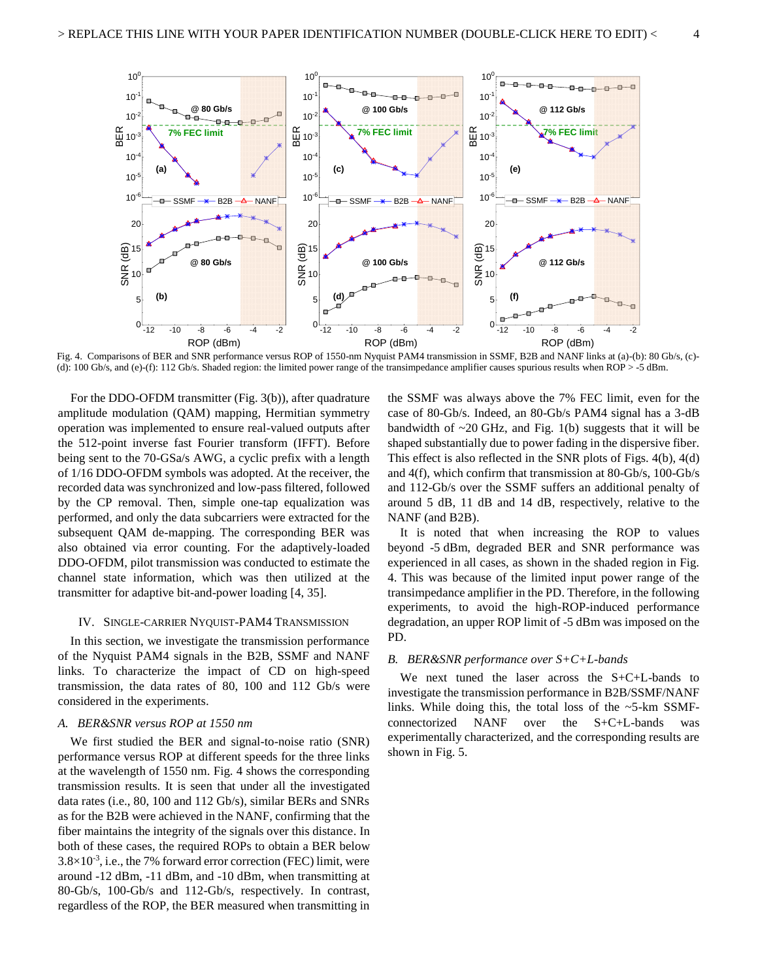

Fig. 4. Comparisons of BER and SNR performance versus ROP of 1550-nm Nyquist PAM4 transmission in SSMF, B2B and NANF links at (a)-(b): 80 Gb/s, (c)- (d): 100 Gb/s, and (e)-(f): 112 Gb/s. Shaded region: the limited power range of the transimpedance amplifier causes spurious results when ROP > -5 dBm.

For the DDO-OFDM transmitter (Fig. 3(b)), after quadrature amplitude modulation (QAM) mapping, Hermitian symmetry operation was implemented to ensure real-valued outputs after the 512-point inverse fast Fourier transform (IFFT). Before being sent to the 70-GSa/s AWG, a cyclic prefix with a length of 1/16 DDO-OFDM symbols was adopted. At the receiver, the recorded data was synchronized and low-pass filtered, followed by the CP removal. Then, simple one-tap equalization was performed, and only the data subcarriers were extracted for the subsequent QAM de-mapping. The corresponding BER was also obtained via error counting. For the adaptively-loaded DDO-OFDM, pilot transmission was conducted to estimate the channel state information, which was then utilized at the transmitter for adaptive bit-and-power loading [4, 35].

#### IV. SINGLE-CARRIER NYQUIST-PAM4 TRANSMISSION

In this section, we investigate the transmission performance of the Nyquist PAM4 signals in the B2B, SSMF and NANF links. To characterize the impact of CD on high-speed transmission, the data rates of 80, 100 and 112 Gb/s were considered in the experiments.

#### *A. BER&SNR versus ROP at 1550 nm*

We first studied the BER and signal-to-noise ratio (SNR) performance versus ROP at different speeds for the three links at the wavelength of 1550 nm. Fig. 4 shows the corresponding transmission results. It is seen that under all the investigated data rates (i.e., 80, 100 and 112 Gb/s), similar BERs and SNRs as for the B2B were achieved in the NANF, confirming that the fiber maintains the integrity of the signals over this distance. In both of these cases, the required ROPs to obtain a BER below  $3.8 \times 10^{-3}$ , i.e., the 7% forward error correction (FEC) limit, were around -12 dBm, -11 dBm, and -10 dBm, when transmitting at 80-Gb/s, 100-Gb/s and 112-Gb/s, respectively. In contrast, regardless of the ROP, the BER measured when transmitting in

the SSMF was always above the 7% FEC limit, even for the case of 80-Gb/s. Indeed, an 80-Gb/s PAM4 signal has a 3-dB bandwidth of  $\sim$ 20 GHz, and Fig. 1(b) suggests that it will be shaped substantially due to power fading in the dispersive fiber. This effect is also reflected in the SNR plots of Figs. 4(b), 4(d) and 4(f), which confirm that transmission at 80-Gb/s, 100-Gb/s and 112-Gb/s over the SSMF suffers an additional penalty of around 5 dB, 11 dB and 14 dB, respectively, relative to the NANF (and B2B).

It is noted that when increasing the ROP to values beyond -5 dBm, degraded BER and SNR performance was experienced in all cases, as shown in the shaded region in Fig. 4. This was because of the limited input power range of the transimpedance amplifier in the PD. Therefore, in the following experiments, to avoid the high-ROP-induced performance degradation, an upper ROP limit of -5 dBm was imposed on the PD.

## *B. BER&SNR performance over S+C+L-bands*

We next tuned the laser across the S+C+L-bands to investigate the transmission performance in B2B/SSMF/NANF links. While doing this, the total loss of the  $\sim$ 5-km SSMFconnectorized NANF over the S+C+L-bands was experimentally characterized, and the corresponding results are shown in Fig. 5.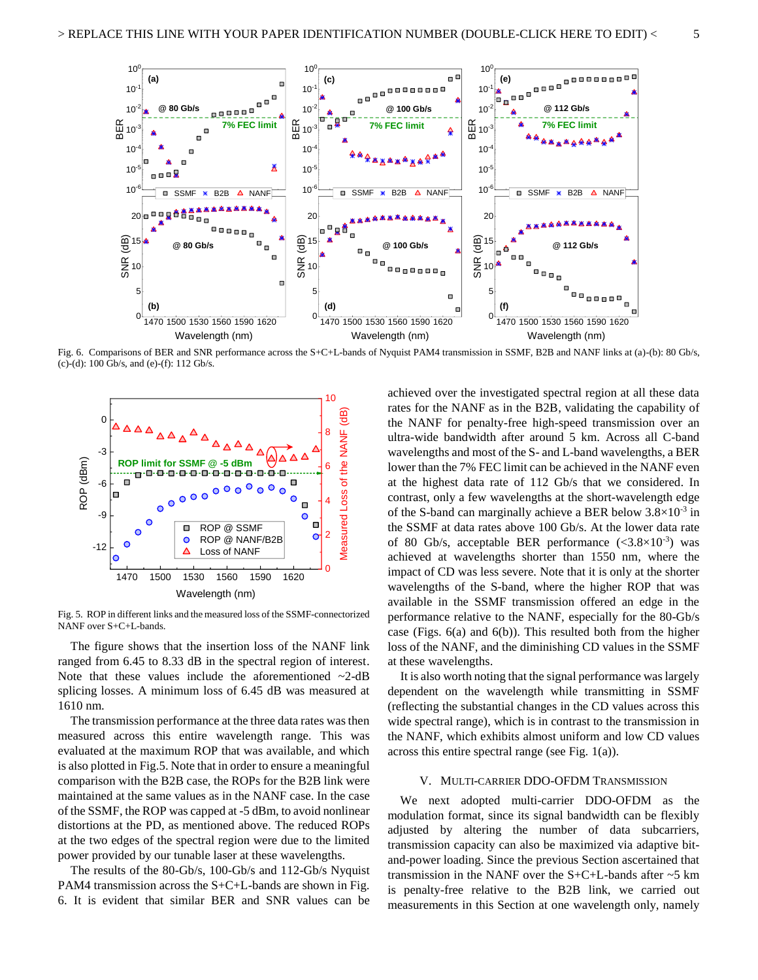

Fig. 6. Comparisons of BER and SNR performance across the S+C+L-bands of Nyquist PAM4 transmission in SSMF, B2B and NANF links at (a)-(b): 80 Gb/s, (c)-(d): 100 Gb/s, and (e)-(f): 112 Gb/s.



Fig. 5. ROP in different links and the measured loss of the SSMF-connectorized NANF over S+C+L-bands.

The figure shows that the insertion loss of the NANF link ranged from 6.45 to 8.33 dB in the spectral region of interest. Note that these values include the aforementioned  $\sim$ 2-dB splicing losses. A minimum loss of 6.45 dB was measured at 1610 nm.

The transmission performance at the three data rates was then measured across this entire wavelength range. This was evaluated at the maximum ROP that was available, and which is also plotted in Fig.5. Note that in order to ensure a meaningful comparison with the B2B case, the ROPs for the B2B link were maintained at the same values as in the NANF case. In the case of the SSMF, the ROP was capped at -5 dBm, to avoid nonlinear distortions at the PD, as mentioned above. The reduced ROPs at the two edges of the spectral region were due to the limited power provided by our tunable laser at these wavelengths.

The results of the 80-Gb/s, 100-Gb/s and 112-Gb/s Nyquist PAM4 transmission across the S+C+L-bands are shown in Fig. 6. It is evident that similar BER and SNR values can be achieved over the investigated spectral region at all these data rates for the NANF as in the B2B, validating the capability of the NANF for penalty-free high-speed transmission over an ultra-wide bandwidth after around 5 km. Across all C-band wavelengths and most of the S- and L-band wavelengths, a BER lower than the 7% FEC limit can be achieved in the NANF even at the highest data rate of 112 Gb/s that we considered. In contrast, only a few wavelengths at the short-wavelength edge of the S-band can marginally achieve a BER below  $3.8 \times 10^{-3}$  in the SSMF at data rates above 100 Gb/s. At the lower data rate of 80 Gb/s, acceptable BER performance  $(<3.8\times10^{-3})$  was achieved at wavelengths shorter than 1550 nm, where the impact of CD was less severe. Note that it is only at the shorter wavelengths of the S-band, where the higher ROP that was available in the SSMF transmission offered an edge in the performance relative to the NANF, especially for the 80-Gb/s case (Figs. 6(a) and 6(b)). This resulted both from the higher loss of the NANF, and the diminishing CD values in the SSMF at these wavelengths.

It is also worth noting that the signal performance was largely dependent on the wavelength while transmitting in SSMF (reflecting the substantial changes in the CD values across this wide spectral range), which is in contrast to the transmission in the NANF, which exhibits almost uniform and low CD values across this entire spectral range (see Fig. 1(a)).

#### V. MULTI-CARRIER DDO-OFDM TRANSMISSION

We next adopted multi-carrier DDO-OFDM as the modulation format, since its signal bandwidth can be flexibly adjusted by altering the number of data subcarriers, transmission capacity can also be maximized via adaptive bitand-power loading. Since the previous Section ascertained that transmission in the NANF over the  $S+C+L$ -bands after  $\sim$ 5 km is penalty-free relative to the B2B link, we carried out measurements in this Section at one wavelength only, namely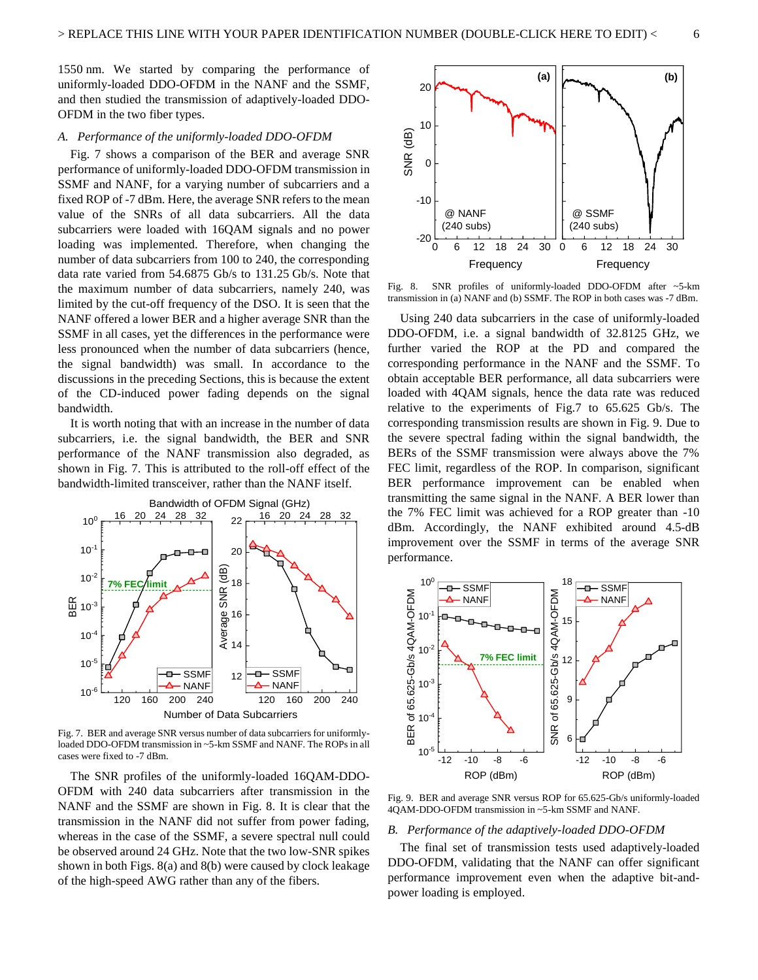1550 nm. We started by comparing the performance of uniformly-loaded DDO-OFDM in the NANF and the SSMF, and then studied the transmission of adaptively-loaded DDO-OFDM in the two fiber types.

#### *A. Performance of the uniformly-loaded DDO-OFDM*

Fig. 7 shows a comparison of the BER and average SNR performance of uniformly-loaded DDO-OFDM transmission in SSMF and NANF, for a varying number of subcarriers and a fixed ROP of -7 dBm. Here, the average SNR refers to the mean value of the SNRs of all data subcarriers. All the data subcarriers were loaded with 16QAM signals and no power loading was implemented. Therefore, when changing the number of data subcarriers from 100 to 240, the corresponding data rate varied from 54.6875 Gb/s to 131.25 Gb/s. Note that the maximum number of data subcarriers, namely 240, was limited by the cut-off frequency of the DSO. It is seen that the NANF offered a lower BER and a higher average SNR than the SSMF in all cases, yet the differences in the performance were less pronounced when the number of data subcarriers (hence, the signal bandwidth) was small. In accordance to the discussions in the preceding Sections, this is because the extent of the CD-induced power fading depends on the signal bandwidth.

It is worth noting that with an increase in the number of data subcarriers, i.e. the signal bandwidth, the BER and SNR performance of the NANF transmission also degraded, as shown in Fig. 7. This is attributed to the roll-off effect of the bandwidth-limited transceiver, rather than the NANF itself.



Fig. 7. BER and average SNR versus number of data subcarriers for uniformlyloaded DDO-OFDM transmission in ~5-km SSMF and NANF. The ROPs in all cases were fixed to -7 dBm.

The SNR profiles of the uniformly-loaded 16QAM-DDO-OFDM with 240 data subcarriers after transmission in the NANF and the SSMF are shown in Fig. 8. It is clear that the transmission in the NANF did not suffer from power fading, whereas in the case of the SSMF, a severe spectral null could be observed around 24 GHz. Note that the two low-SNR spikes shown in both Figs. 8(a) and 8(b) were caused by clock leakage of the high-speed AWG rather than any of the fibers.



Fig. 8. SNR profiles of uniformly-loaded DDO-OFDM after ~5-km transmission in (a) NANF and (b) SSMF. The ROP in both cases was -7 dBm.

Using 240 data subcarriers in the case of uniformly-loaded DDO-OFDM, i.e. a signal bandwidth of 32.8125 GHz, we further varied the ROP at the PD and compared the corresponding performance in the NANF and the SSMF. To obtain acceptable BER performance, all data subcarriers were loaded with 4QAM signals, hence the data rate was reduced relative to the experiments of Fig.7 to 65.625 Gb/s. The corresponding transmission results are shown in Fig. 9. Due to the severe spectral fading within the signal bandwidth, the BERs of the SSMF transmission were always above the 7% FEC limit, regardless of the ROP. In comparison, significant BER performance improvement can be enabled when transmitting the same signal in the NANF. A BER lower than the 7% FEC limit was achieved for a ROP greater than -10 dBm. Accordingly, the NANF exhibited around 4.5-dB improvement over the SSMF in terms of the average SNR performance.



Fig. 9. BER and average SNR versus ROP for 65.625-Gb/s uniformly-loaded 4QAM-DDO-OFDM transmission in ~5-km SSMF and NANF.

# *B. Performance of the adaptively-loaded DDO-OFDM*

The final set of transmission tests used adaptively-loaded DDO-OFDM, validating that the NANF can offer significant performance improvement even when the adaptive bit-andpower loading is employed.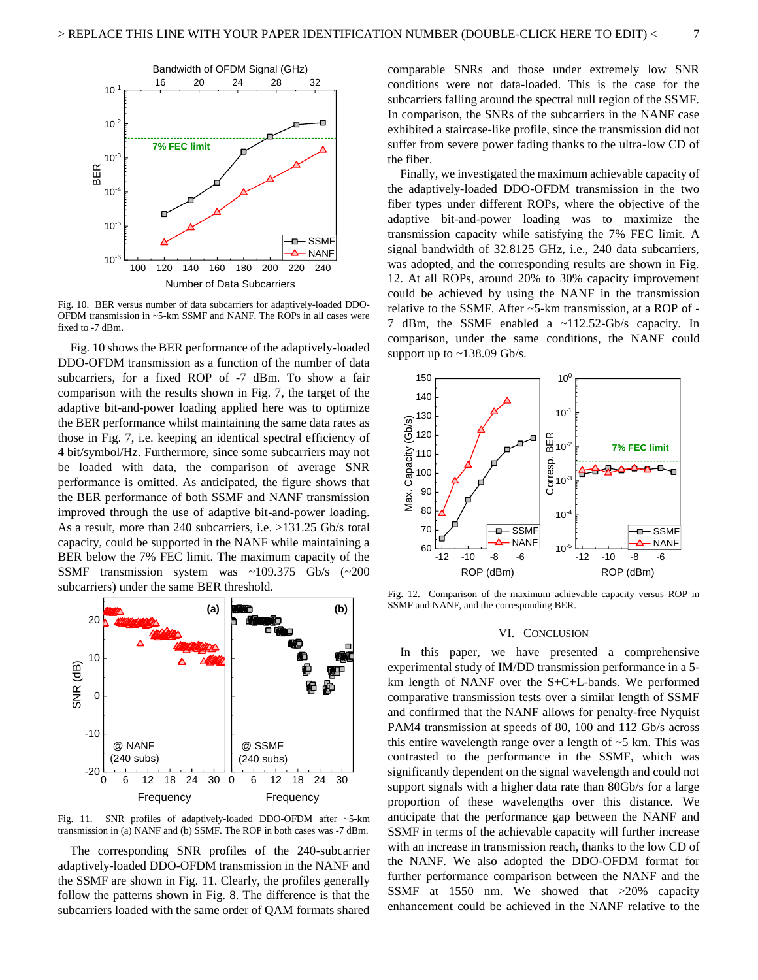

Fig. 10. BER versus number of data subcarriers for adaptively-loaded DDO-OFDM transmission in ~5-km SSMF and NANF. The ROPs in all cases were fixed to -7 dBm.

Fig. 10 shows the BER performance of the adaptively-loaded DDO-OFDM transmission as a function of the number of data subcarriers, for a fixed ROP of -7 dBm. To show a fair comparison with the results shown in Fig. 7, the target of the adaptive bit-and-power loading applied here was to optimize the BER performance whilst maintaining the same data rates as those in Fig. 7, i.e. keeping an identical spectral efficiency of 4 bit/symbol/Hz. Furthermore, since some subcarriers may not be loaded with data, the comparison of average SNR performance is omitted. As anticipated, the figure shows that the BER performance of both SSMF and NANF transmission improved through the use of adaptive bit-and-power loading. As a result, more than 240 subcarriers, i.e. >131.25 Gb/s total capacity, could be supported in the NANF while maintaining a BER below the 7% FEC limit. The maximum capacity of the SSMF transmission system was ~109.375 Gb/s (~200 subcarriers) under the same BER threshold.



Fig. 11. SNR profiles of adaptively-loaded DDO-OFDM after ~5-km transmission in (a) NANF and (b) SSMF. The ROP in both cases was -7 dBm.

The corresponding SNR profiles of the 240-subcarrier adaptively-loaded DDO-OFDM transmission in the NANF and the SSMF are shown in Fig. 11. Clearly, the profiles generally follow the patterns shown in Fig. 8. The difference is that the subcarriers loaded with the same order of QAM formats shared comparable SNRs and those under extremely low SNR conditions were not data-loaded. This is the case for the subcarriers falling around the spectral null region of the SSMF. In comparison, the SNRs of the subcarriers in the NANF case exhibited a staircase-like profile, since the transmission did not suffer from severe power fading thanks to the ultra-low CD of the fiber.

Finally, we investigated the maximum achievable capacity of the adaptively-loaded DDO-OFDM transmission in the two fiber types under different ROPs, where the objective of the adaptive bit-and-power loading was to maximize the transmission capacity while satisfying the 7% FEC limit. A signal bandwidth of 32.8125 GHz, i.e., 240 data subcarriers, was adopted, and the corresponding results are shown in Fig. 12. At all ROPs, around 20% to 30% capacity improvement could be achieved by using the NANF in the transmission relative to the SSMF. After ~5-km transmission, at a ROP of - 7 dBm, the SSMF enabled a ~112.52-Gb/s capacity. In comparison, under the same conditions, the NANF could support up to ~138.09 Gb/s.



Fig. 12. Comparison of the maximum achievable capacity versus ROP in SSMF and NANF, and the corresponding BER.

#### VI. CONCLUSION

In this paper, we have presented a comprehensive experimental study of IM/DD transmission performance in a 5 km length of NANF over the S+C+L-bands. We performed comparative transmission tests over a similar length of SSMF and confirmed that the NANF allows for penalty-free Nyquist PAM4 transmission at speeds of 80, 100 and 112 Gb/s across this entire wavelength range over a length of  $\sim$  5 km. This was contrasted to the performance in the SSMF, which was significantly dependent on the signal wavelength and could not support signals with a higher data rate than 80Gb/s for a large proportion of these wavelengths over this distance. We anticipate that the performance gap between the NANF and SSMF in terms of the achievable capacity will further increase with an increase in transmission reach, thanks to the low CD of the NANF. We also adopted the DDO-OFDM format for further performance comparison between the NANF and the SSMF at 1550 nm. We showed that >20% capacity enhancement could be achieved in the NANF relative to the